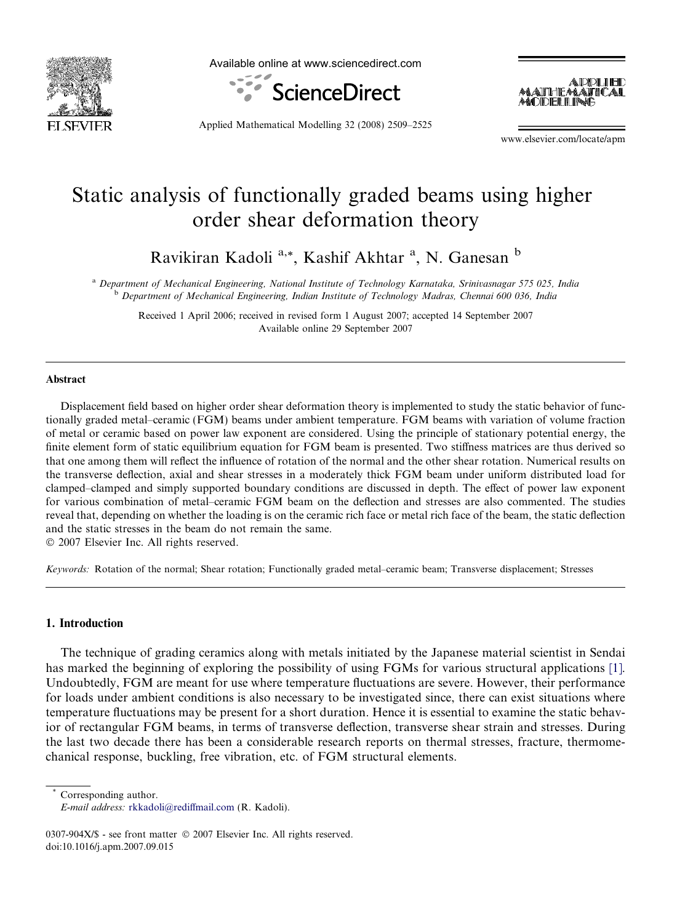

Available online at www.sciencedirect.com





Applied Mathematical Modelling 32 (2008) 2509–2525

www.elsevier.com/locate/apm

# Static analysis of functionally graded beams using higher order shear deformation theory

Ravikiran Kadoli<sup>a,\*</sup>, Kashif Akhtar<sup>a</sup>, N. Ganesan b

<sup>a</sup> Department of Mechanical Engineering, National Institute of Technology Karnataka, Srinivasnagar 575 025, India <sup>b</sup> Department of Mechanical Engineering, Indian Institute of Technology Madras, Chennai 600 036, India

Received 1 April 2006; received in revised form 1 August 2007; accepted 14 September 2007 Available online 29 September 2007

#### Abstract

Displacement field based on higher order shear deformation theory is implemented to study the static behavior of functionally graded metal–ceramic (FGM) beams under ambient temperature. FGM beams with variation of volume fraction of metal or ceramic based on power law exponent are considered. Using the principle of stationary potential energy, the finite element form of static equilibrium equation for FGM beam is presented. Two stiffness matrices are thus derived so that one among them will reflect the influence of rotation of the normal and the other shear rotation. Numerical results on the transverse deflection, axial and shear stresses in a moderately thick FGM beam under uniform distributed load for clamped–clamped and simply supported boundary conditions are discussed in depth. The effect of power law exponent for various combination of metal–ceramic FGM beam on the deflection and stresses are also commented. The studies reveal that, depending on whether the loading is on the ceramic rich face or metal rich face of the beam, the static deflection and the static stresses in the beam do not remain the same.

 $© 2007 Elsevier Inc. All rights reserved.$ 

Keywords: Rotation of the normal; Shear rotation; Functionally graded metal–ceramic beam; Transverse displacement; Stresses

# 1. Introduction

The technique of grading ceramics along with metals initiated by the Japanese material scientist in Sendai has marked the beginning of exploring the possibility of using FGMs for various structural applications [1]. Undoubtedly, FGM are meant for use where temperature fluctuations are severe. However, their performance for loads under ambient conditions is also necessary to be investigated since, there can exist situations where temperature fluctuations may be present for a short duration. Hence it is essential to examine the static behavior of rectangular FGM beams, in terms of transverse deflection, transverse shear strain and stresses. During the last two decade there has been a considerable research reports on thermal stresses, fracture, thermomechanical response, buckling, free vibration, etc. of FGM structural elements.

Corresponding author.

E-mail address: rkkadoli@rediffmail.com (R. Kadoli).

<sup>0307-904</sup>X/\$ - see front matter © 2007 Elsevier Inc. All rights reserved. doi:10.1016/j.apm.2007.09.015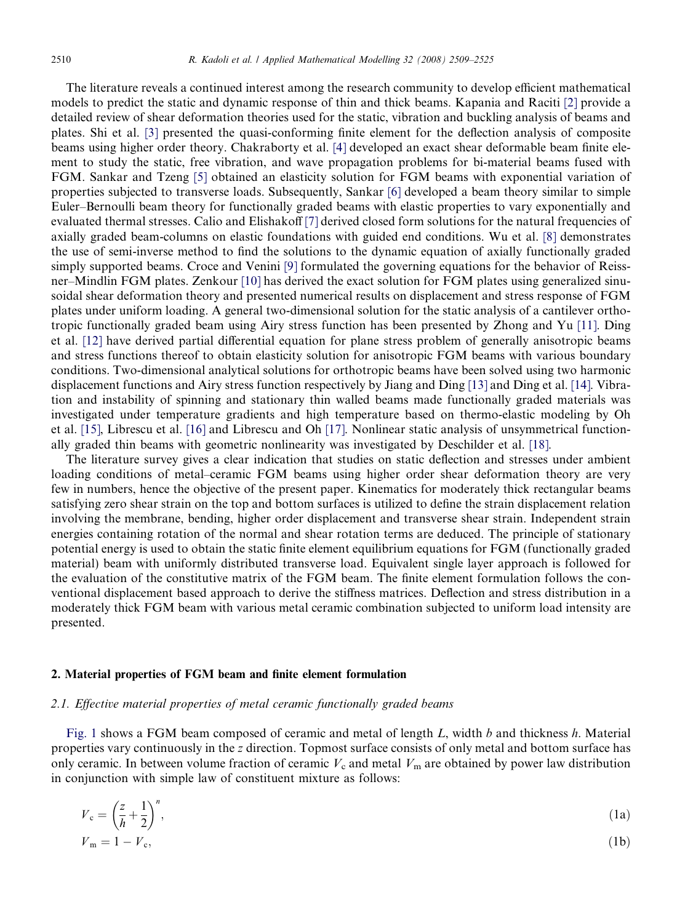The literature reveals a continued interest among the research community to develop efficient mathematical models to predict the static and dynamic response of thin and thick beams. Kapania and Raciti [2] provide a detailed review of shear deformation theories used for the static, vibration and buckling analysis of beams and plates. Shi et al. [3] presented the quasi-conforming finite element for the deflection analysis of composite beams using higher order theory. Chakraborty et al. [4] developed an exact shear deformable beam finite element to study the static, free vibration, and wave propagation problems for bi-material beams fused with FGM. Sankar and Tzeng [5] obtained an elasticity solution for FGM beams with exponential variation of properties subjected to transverse loads. Subsequently, Sankar [6] developed a beam theory similar to simple Euler–Bernoulli beam theory for functionally graded beams with elastic properties to vary exponentially and evaluated thermal stresses. Calio and Elishakoff [7] derived closed form solutions for the natural frequencies of axially graded beam-columns on elastic foundations with guided end conditions. Wu et al. [8] demonstrates the use of semi-inverse method to find the solutions to the dynamic equation of axially functionally graded simply supported beams. Croce and Venini [9] formulated the governing equations for the behavior of Reissner–Mindlin FGM plates. Zenkour [10] has derived the exact solution for FGM plates using generalized sinusoidal shear deformation theory and presented numerical results on displacement and stress response of FGM plates under uniform loading. A general two-dimensional solution for the static analysis of a cantilever orthotropic functionally graded beam using Airy stress function has been presented by Zhong and Yu [11]. Ding et al. [12] have derived partial differential equation for plane stress problem of generally anisotropic beams and stress functions thereof to obtain elasticity solution for anisotropic FGM beams with various boundary conditions. Two-dimensional analytical solutions for orthotropic beams have been solved using two harmonic displacement functions and Airy stress function respectively by Jiang and Ding [13] and Ding et al. [14]. Vibration and instability of spinning and stationary thin walled beams made functionally graded materials was investigated under temperature gradients and high temperature based on thermo-elastic modeling by Oh et al. [15], Librescu et al. [16] and Librescu and Oh [17]. Nonlinear static analysis of unsymmetrical functionally graded thin beams with geometric nonlinearity was investigated by Deschilder et al. [18].

The literature survey gives a clear indication that studies on static deflection and stresses under ambient loading conditions of metal–ceramic FGM beams using higher order shear deformation theory are very few in numbers, hence the objective of the present paper. Kinematics for moderately thick rectangular beams satisfying zero shear strain on the top and bottom surfaces is utilized to define the strain displacement relation involving the membrane, bending, higher order displacement and transverse shear strain. Independent strain energies containing rotation of the normal and shear rotation terms are deduced. The principle of stationary potential energy is used to obtain the static finite element equilibrium equations for FGM (functionally graded material) beam with uniformly distributed transverse load. Equivalent single layer approach is followed for the evaluation of the constitutive matrix of the FGM beam. The finite element formulation follows the conventional displacement based approach to derive the stiffness matrices. Deflection and stress distribution in a moderately thick FGM beam with various metal ceramic combination subjected to uniform load intensity are presented.

## 2. Material properties of FGM beam and finite element formulation

### 2.1. Effective material properties of metal ceramic functionally graded beams

Fig. 1 shows a FGM beam composed of ceramic and metal of length L, width b and thickness h. Material properties vary continuously in the z direction. Topmost surface consists of only metal and bottom surface has only ceramic. In between volume fraction of ceramic  $V_c$  and metal  $V_m$  are obtained by power law distribution in conjunction with simple law of constituent mixture as follows:

$$
V_c = \left(\frac{z}{h} + \frac{1}{2}\right)^n,
$$
  
\n
$$
V_m = 1 - V_c,
$$
\n(1a)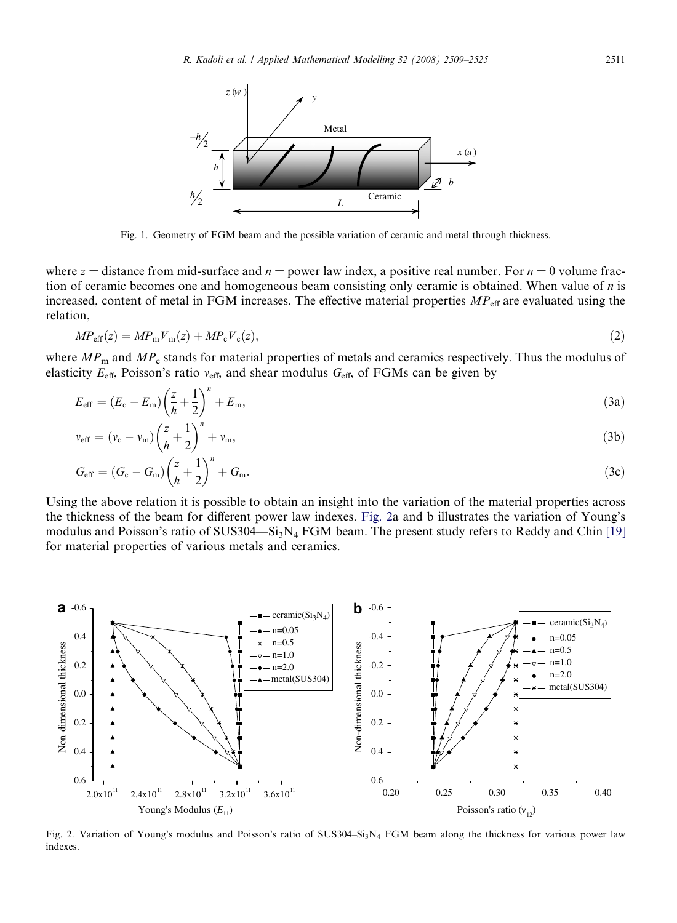

Fig. 1. Geometry of FGM beam and the possible variation of ceramic and metal through thickness.

where  $z =$  distance from mid-surface and  $n =$  power law index, a positive real number. For  $n = 0$  volume fraction of ceramic becomes one and homogeneous beam consisting only ceramic is obtained. When value of n is increased, content of metal in FGM increases. The effective material properties  $MP_{\text{eff}}$  are evaluated using the relation,

$$
MP_{\rm eff}(z) = MP_{\rm m}V_{\rm m}(z) + MP_{\rm c}V_{\rm c}(z),\tag{2}
$$

where  $MP<sub>m</sub>$  and  $MP<sub>c</sub>$  stands for material properties of metals and ceramics respectively. Thus the modulus of elasticity  $E_{\text{eff}}$ , Poisson's ratio  $v_{\text{eff}}$ , and shear modulus  $G_{\text{eff}}$ , of FGMs can be given by

$$
E_{\text{eff}} = (E_{\text{c}} - E_{\text{m}}) \left(\frac{z}{h} + \frac{1}{2}\right)^n + E_{\text{m}},
$$
\n(3a)

$$
v_{\rm eff} = (v_{\rm c} - v_{\rm m}) \left(\frac{z}{h} + \frac{1}{2}\right)^n + v_{\rm m},\tag{3b}
$$

$$
G_{\rm eff} = (G_{\rm c} - G_{\rm m}) \left(\frac{z}{h} + \frac{1}{2}\right)^n + G_{\rm m}.
$$
 (3c)

Using the above relation it is possible to obtain an insight into the variation of the material properties across the thickness of the beam for different power law indexes. Fig. 2a and b illustrates the variation of Young's modulus and Poisson's ratio of  $SUS304-Si<sub>3</sub>N<sub>4</sub>$  FGM beam. The present study refers to Reddy and Chin [19] for material properties of various metals and ceramics.



Fig. 2. Variation of Young's modulus and Poisson's ratio of SUS304–Si<sub>3</sub>N<sub>4</sub> FGM beam along the thickness for various power law indexes.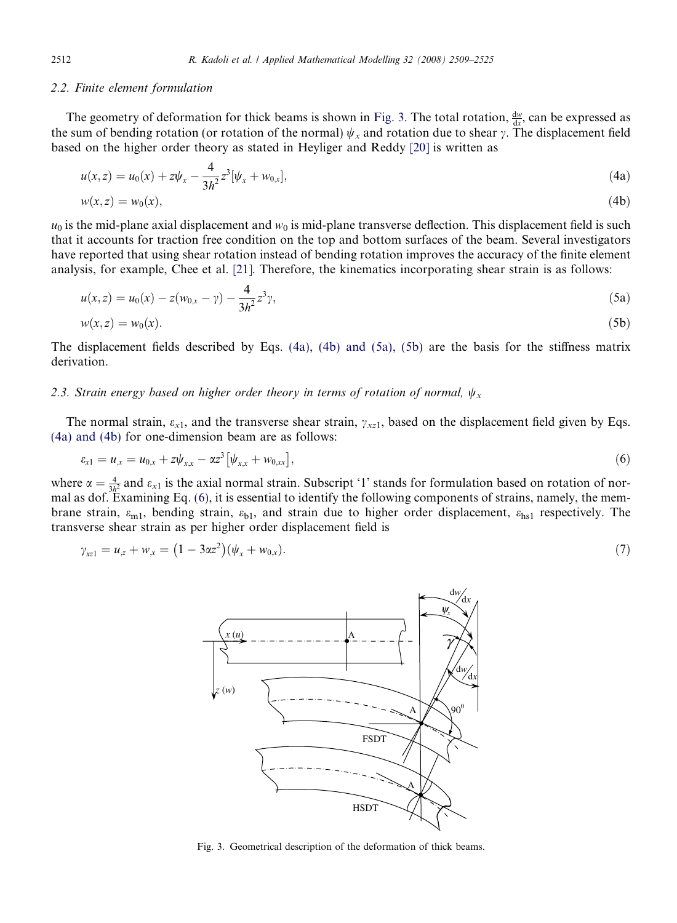#### 2.2. Finite element formulation

The geometry of deformation for thick beams is shown in Fig. 3. The total rotation,  $\frac{dw}{dx}$ , can be expressed as the sum of bending rotation (or rotation of the normal)  $\psi_x$  and rotation due to shear  $\gamma$ . The displacement field based on the higher order theory as stated in Heyliger and Reddy [20] is written as

$$
u(x,z) = u_0(x) + z\psi_x - \frac{4}{3h^2}z^3[\psi_x + w_{0,x}],
$$
\n(4a)

$$
w(x,z) = w_0(x), \tag{4b}
$$

 $u_0$  is the mid-plane axial displacement and  $w_0$  is mid-plane transverse deflection. This displacement field is such that it accounts for traction free condition on the top and bottom surfaces of the beam. Several investigators have reported that using shear rotation instead of bending rotation improves the accuracy of the finite element analysis, for example, Chee et al. [21]. Therefore, the kinematics incorporating shear strain is as follows:

$$
u(x,z) = u_0(x) - z(w_{0,x} - \gamma) - \frac{4}{3h^2}z^3\gamma,
$$
\n(5a)

$$
w(x, z) = w_0(x). \tag{5b}
$$

The displacement fields described by Eqs. (4a), (4b) and (5a), (5b) are the basis for the stiffness matrix derivation.

## 2.3. Strain energy based on higher order theory in terms of rotation of normal,  $\psi_x$

The normal strain,  $\varepsilon_{x1}$ , and the transverse shear strain,  $\gamma_{xz1}$ , based on the displacement field given by Eqs. (4a) and (4b) for one-dimension beam are as follows:

$$
\varepsilon_{x1} = u_{,x} = u_{0,x} + z\psi_{x,x} - \alpha z^3 \left[ \psi_{x,x} + w_{0,xx} \right],
$$
\n(6)

where  $\alpha = \frac{4}{3h^2}$  and  $\varepsilon_{x1}$  is the axial normal strain. Subscript '1' stands for formulation based on rotation of normal as dof. Examining Eq. (6), it is essential to identify the following components of strains, namely, the membrane strain,  $\varepsilon_{m1}$ , bending strain,  $\varepsilon_{b1}$ , and strain due to higher order displacement,  $\varepsilon_{hs1}$  respectively. The transverse shear strain as per higher order displacement field is

$$
\gamma_{xz1} = u_{,z} + w_{,x} = (1 - 3\alpha z^2)(\psi_x + w_{0,x}). \tag{7}
$$



Fig. 3. Geometrical description of the deformation of thick beams.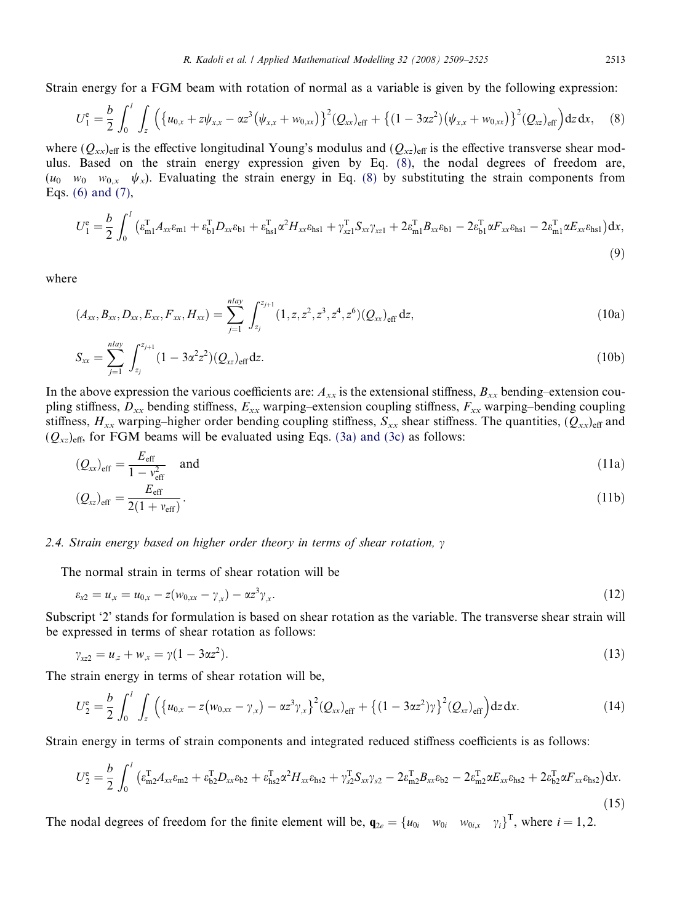Strain energy for a FGM beam with rotation of normal as a variable is given by the following expression:

$$
U_1^e = \frac{b}{2} \int_0^l \int_z \left( \left\{ u_{0,x} + z \psi_{x,x} - \alpha z^3 \left( \psi_{x,x} + w_{0,xx} \right) \right\}^2 (Q_{xx})_{\text{eff}} + \left\{ (1 - 3\alpha z^2) \left( \psi_{x,x} + w_{0,xx} \right) \right\}^2 (Q_{xz})_{\text{eff}} \right) dz \, dx, \tag{8}
$$

where ( $Q_{xx}$ )<sub>eff</sub> is the effective longitudinal Young's modulus and ( $Q_{xz}$ )<sub>eff</sub> is the effective transverse shear modulus. Based on the strain energy expression given by Eq. (8), the nodal degrees of freedom are,  $(u_0 \quad w_0 \quad w_{0,x} \quad \psi_x)$ . Evaluating the strain energy in Eq. (8) by substituting the strain components from Eqs. (6) and (7),

$$
U_1^e = \frac{b}{2} \int_0^l \left( \varepsilon_{m1}^T A_{xx} \varepsilon_{m1} + \varepsilon_{b1}^T D_{xx} \varepsilon_{b1} + \varepsilon_{hs1}^T \alpha^2 H_{xx} \varepsilon_{hs1} + \gamma_{xz1}^T S_{xx} \gamma_{xz1} + 2\varepsilon_{m1}^T B_{xx} \varepsilon_{b1} - 2\varepsilon_{b1}^T \alpha F_{xx} \varepsilon_{hs1} - 2\varepsilon_{m1}^T \alpha E_{xx} \varepsilon_{hs1} \right) dx,
$$
\n(9)

where

$$
(A_{xx}, B_{xx}, D_{xx}, E_{xx}, F_{xx}, H_{xx}) = \sum_{j=1}^{n \, \text{day}} \int_{z_j}^{z_{j+1}} (1, z, z^2, z^3, z^4, z^6) (Q_{xx})_{\text{eff}} dz, \tag{10a}
$$

$$
S_{xx} = \sum_{j=1}^{n \, \text{day}} \int_{z_j}^{z_{j+1}} (1 - 3\alpha^2 z^2) (Q_{xz})_{\text{eff}} \, \text{d}z. \tag{10b}
$$

In the above expression the various coefficients are:  $A_{xx}$  is the extensional stiffness,  $B_{xx}$  bending–extension coupling stiffness,  $D_{xx}$  bending stiffness,  $E_{xx}$  warping–extension coupling stiffness,  $F_{xx}$  warping–bending coupling stiffness,  $H_{xx}$  warping–higher order bending coupling stiffness,  $S_{xx}$  shear stiffness. The quantities,  $(Q_{xx})_{\text{eff}}$  and  $(Q_{xz})$ <sub>eff</sub>, for FGM beams will be evaluated using Eqs. (3a) and (3c) as follows:

$$
\left(Q_{xx}\right)_{\text{eff}} = \frac{E_{\text{eff}}}{1 - v_{\text{eff}}^2} \quad \text{and} \tag{11a}
$$

$$
\left(Q_{xz}\right)_{\text{eff}} = \frac{E_{\text{eff}}}{2(1 + v_{\text{eff}})}.
$$
\n(11b)

2.4. Strain energy based on higher order theory in terms of shear rotation,  $\nu$ 

The normal strain in terms of shear rotation will be

$$
\varepsilon_{x2} = u_{,x} = u_{0,x} - z(w_{0,xx} - \gamma_{,x}) - \alpha z^3 \gamma_{,x}.
$$
\n(12)

Subscript '2' stands for formulation is based on shear rotation as the variable. The transverse shear strain will be expressed in terms of shear rotation as follows:

$$
\gamma_{xz2} = u_{,z} + w_{,x} = \gamma (1 - 3\alpha z^2). \tag{13}
$$

The strain energy in terms of shear rotation will be,

$$
U_2^e = \frac{b}{2} \int_0^l \int_z \left( \left\{ u_{0,x} - z \left( w_{0,xx} - \gamma_x \right) - \alpha z^3 \gamma_x \right\}^2 (Q_{xx})_{\text{eff}} + \left\{ (1 - 3\alpha z^2) \gamma \right\}^2 (Q_{xz})_{\text{eff}} \right) dz dx. \tag{14}
$$

Strain energy in terms of strain components and integrated reduced stiffness coefficients is as follows:

$$
U_2^e = \frac{b}{2} \int_0^l \left( \varepsilon_{m2}^T A_{xx} \varepsilon_{m2} + \varepsilon_{b2}^T D_{xx} \varepsilon_{b2} + \varepsilon_{hs2}^T \alpha^2 H_{xx} \varepsilon_{hs2} + \gamma_{s2}^T S_{xx} \gamma_{s2} - 2\varepsilon_{m2}^T B_{xx} \varepsilon_{b2} - 2\varepsilon_{m2}^T \alpha E_{xx} \varepsilon_{hs2} + 2\varepsilon_{b2}^T \alpha F_{xx} \varepsilon_{hs2} \right) dx. \tag{15}
$$

The nodal degrees of freedom for the finite element will be,  $\mathbf{q}_{2e} = \begin{cases} u_{0i} & w_{0i} & w_{0i, x} & \gamma_i \end{cases}^T$ , where  $i = 1, 2$ .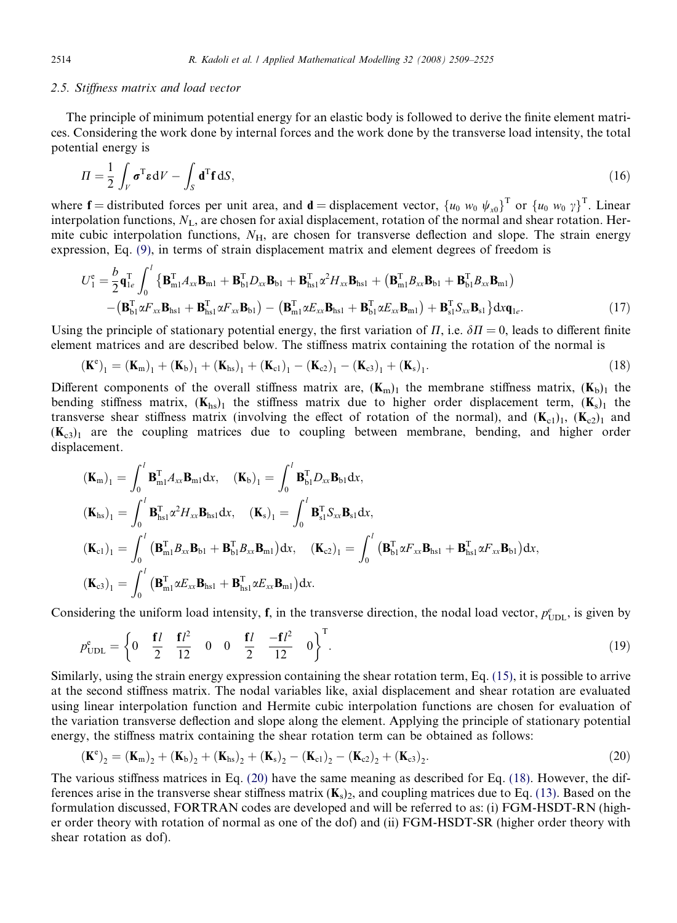#### 2.5. Stiffness matrix and load vector

The principle of minimum potential energy for an elastic body is followed to derive the finite element matrices. Considering the work done by internal forces and the work done by the transverse load intensity, the total potential energy is

$$
\Pi = \frac{1}{2} \int_{V} \boldsymbol{\sigma}^{\mathrm{T}} \boldsymbol{\varepsilon} \, \mathrm{d}V - \int_{S} \mathbf{d}^{\mathrm{T}} \mathbf{f} \, \mathrm{d}S,\tag{16}
$$

where  $f =$  distributed forces per unit area, and  $d =$  displacement vector,  $\{u_0, w_0, \psi_{x0}\}^T$  or  $\{u_0, w_0, \gamma\}^T$ . Linear interpolation functions,  $N_{\rm L}$ , are chosen for axial displacement, rotation of the normal and shear rotation. Hermite cubic interpolation functions,  $N_H$ , are chosen for transverse deflection and slope. The strain energy expression, Eq. (9), in terms of strain displacement matrix and element degrees of freedom is

$$
U_1^e = \frac{b}{2} \mathbf{q}_{1e}^{\mathrm{T}} \int_0^l \left\{ \mathbf{B}_{ml}^{\mathrm{T}} A_{xx} \mathbf{B}_{ml} + \mathbf{B}_{bl}^{\mathrm{T}} D_{xx} \mathbf{B}_{bl} + \mathbf{B}_{hs1}^{\mathrm{T}} \alpha^2 H_{xx} \mathbf{B}_{hsl} + (\mathbf{B}_{ml}^{\mathrm{T}} B_{xx} \mathbf{B}_{bl} + \mathbf{B}_{bl}^{\mathrm{T}} B_{xx} \mathbf{B}_{ml}) - (\mathbf{B}_{bl}^{\mathrm{T}} \alpha F_{xx} \mathbf{B}_{hsl} + \mathbf{B}_{bl}^{\mathrm{T}} \alpha F_{xx} \mathbf{B}_{bl}) - (\mathbf{B}_{ml}^{\mathrm{T}} \alpha E_{xx} \mathbf{B}_{hsl} + \mathbf{B}_{bl}^{\mathrm{T}} \alpha E_{xx} \mathbf{B}_{ml}) + \mathbf{B}_{sl}^{\mathrm{T}} S_{xx} \mathbf{B}_{sl} \right\} d x \mathbf{q}_{le}.
$$
\n(17)

Using the principle of stationary potential energy, the first variation of  $\Pi$ , i.e.  $\delta \Pi = 0$ , leads to different finite element matrices and are described below. The stiffness matrix containing the rotation of the normal is

$$
(\mathbf{K}^{\mathbf{e}})_{1} = (\mathbf{K}_{m})_{1} + (\mathbf{K}_{b})_{1} + (\mathbf{K}_{hs})_{1} + (\mathbf{K}_{c1})_{1} - (\mathbf{K}_{c2})_{1} - (\mathbf{K}_{c3})_{1} + (\mathbf{K}_{s})_{1}.
$$
\n(18)

Different components of the overall stiffness matrix are,  $(K_m)_1$  the membrane stiffness matrix,  $(K_b)_1$  the bending stiffness matrix,  $(K_{hs})_1$  the stiffness matrix due to higher order displacement term,  $(K_s)_1$  the transverse shear stiffness matrix (involving the effect of rotation of the normal), and  $(K_{c1})_1$ ,  $(K_{c2})_1$  and  $(K<sub>c3</sub>)<sub>1</sub>$  are the coupling matrices due to coupling between membrane, bending, and higher order displacement.

$$
\begin{aligned}\n\left(\mathbf{K}_{m}\right)_{1} &= \int_{0}^{l} \mathbf{B}_{m1}^{T} A_{xx} \mathbf{B}_{m1} dx, \quad \left(\mathbf{K}_{b}\right)_{1} = \int_{0}^{l} \mathbf{B}_{b1}^{T} D_{xx} \mathbf{B}_{b1} dx, \\
\left(\mathbf{K}_{hs}\right)_{1} &= \int_{0}^{l} \mathbf{B}_{hs1}^{T} \alpha^{2} H_{xx} \mathbf{B}_{hs1} dx, \quad \left(\mathbf{K}_{s}\right)_{1} = \int_{0}^{l} \mathbf{B}_{s1}^{T} S_{xx} \mathbf{B}_{s1} dx, \\
\left(\mathbf{K}_{c1}\right)_{1} &= \int_{0}^{l} \left(\mathbf{B}_{m1}^{T} B_{xx} \mathbf{B}_{b1} + \mathbf{B}_{b1}^{T} B_{xx} \mathbf{B}_{m1}\right) dx, \quad \left(\mathbf{K}_{c2}\right)_{1} = \int_{0}^{l} \left(\mathbf{B}_{b1}^{T} \alpha F_{xx} \mathbf{B}_{hs1} + \mathbf{B}_{hs1}^{T} \alpha F_{xx} \mathbf{B}_{b1}\right) dx, \\
\left(\mathbf{K}_{c3}\right)_{1} &= \int_{0}^{l} \left(\mathbf{B}_{m1}^{T} \alpha E_{xx} \mathbf{B}_{hs1} + \mathbf{B}_{hs1}^{T} \alpha E_{xx} \mathbf{B}_{m1}\right) dx.\n\end{aligned}
$$

Considering the uniform load intensity, **f**, in the transverse direction, the nodal load vector,  $p_{\text{UDL}}^e$ , is given by

$$
p_{\text{UDL}}^{\text{e}} = \left\{ 0 \quad \frac{\mathbf{f}l}{2} \quad \frac{\mathbf{f}l^{2}}{12} \quad 0 \quad 0 \quad \frac{\mathbf{f}l}{2} \quad \frac{-\mathbf{f}l^{2}}{12} \quad 0 \right\}^{\text{T}}.
$$
 (19)

Similarly, using the strain energy expression containing the shear rotation term, Eq. (15), it is possible to arrive at the second stiffness matrix. The nodal variables like, axial displacement and shear rotation are evaluated using linear interpolation function and Hermite cubic interpolation functions are chosen for evaluation of the variation transverse deflection and slope along the element. Applying the principle of stationary potential energy, the stiffness matrix containing the shear rotation term can be obtained as follows:

$$
(\mathbf{K}^{e})_{2} = (\mathbf{K}_{m})_{2} + (\mathbf{K}_{b})_{2} + (\mathbf{K}_{hs})_{2} + (\mathbf{K}_{s})_{2} - (\mathbf{K}_{c1})_{2} - (\mathbf{K}_{c2})_{2} + (\mathbf{K}_{c3})_{2}.
$$
\n(20)

The various stiffness matrices in Eq. (20) have the same meaning as described for Eq. (18). However, the differences arise in the transverse shear stiffness matrix  $(K_s)_2$ , and coupling matrices due to Eq. (13). Based on the formulation discussed, FORTRAN codes are developed and will be referred to as: (i) FGM-HSDT-RN (higher order theory with rotation of normal as one of the dof) and (ii) FGM-HSDT-SR (higher order theory with shear rotation as dof).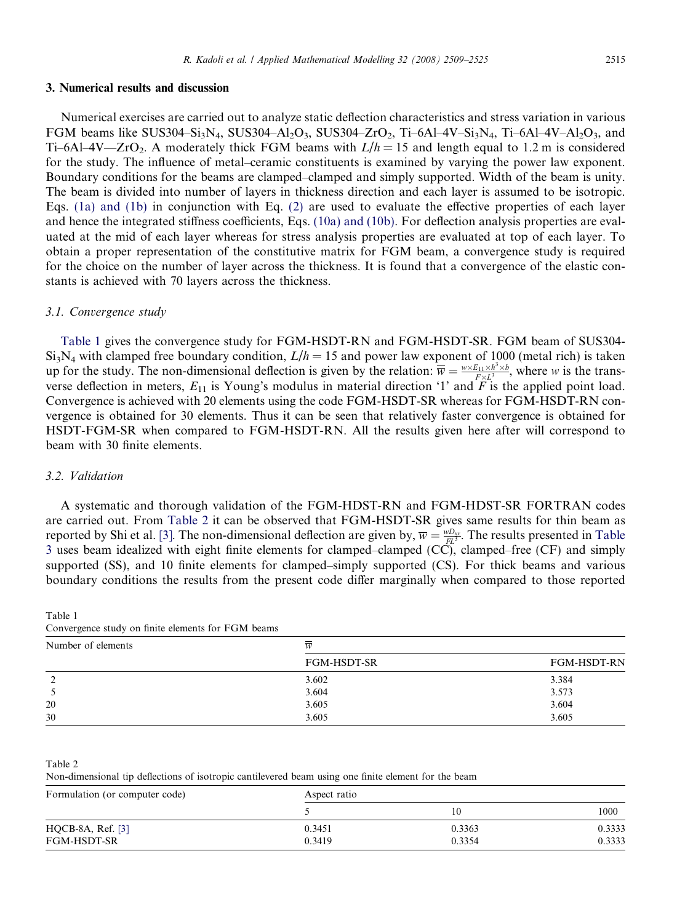## 3. Numerical results and discussion

Numerical exercises are carried out to analyze static deflection characteristics and stress variation in various FGM beams like SUS304–Si<sub>3</sub>N<sub>4</sub>, SUS304–Al<sub>2</sub>O<sub>3</sub>, SUS304–ZrO<sub>2</sub>, Ti–6Al–4V–Si<sub>3</sub>N<sub>4</sub>, Ti–6Al–4V–Al<sub>2</sub>O<sub>3</sub>, and Ti–6Al–4V—ZrO<sub>2</sub>. A moderately thick FGM beams with  $L/h = 15$  and length equal to 1.2 m is considered for the study. The influence of metal–ceramic constituents is examined by varying the power law exponent. Boundary conditions for the beams are clamped–clamped and simply supported. Width of the beam is unity. The beam is divided into number of layers in thickness direction and each layer is assumed to be isotropic. Eqs. (1a) and (1b) in conjunction with Eq. (2) are used to evaluate the effective properties of each layer and hence the integrated stiffness coefficients, Eqs. (10a) and (10b). For deflection analysis properties are evaluated at the mid of each layer whereas for stress analysis properties are evaluated at top of each layer. To obtain a proper representation of the constitutive matrix for FGM beam, a convergence study is required for the choice on the number of layer across the thickness. It is found that a convergence of the elastic constants is achieved with 70 layers across the thickness.

#### 3.1. Convergence study

Table 1 gives the convergence study for FGM-HSDT-RN and FGM-HSDT-SR. FGM beam of SUS304-  $Si<sub>3</sub>N<sub>4</sub>$  with clamped free boundary condition,  $L/h = 15$  and power law exponent of 1000 (metal rich) is taken up for the study. The non-dimensional deflection is given by the relation:  $\overline{\overline{w}} = \frac{w \times E_{11} \times h^3 \times h}{w \times I^3}$  $\frac{E_{11} \times h^2 \times b}{F \times L^3}$ , where w is the transverse deflection in meters,  $E_{11}$  is Young's modulus in material direction '1' and F is the applied point load. Convergence is achieved with 20 elements using the code FGM-HSDT-SR whereas for FGM-HSDT-RN convergence is obtained for 30 elements. Thus it can be seen that relatively faster convergence is obtained for HSDT-FGM-SR when compared to FGM-HSDT-RN. All the results given here after will correspond to beam with 30 finite elements.

# 3.2. Validation

A systematic and thorough validation of the FGM-HDST-RN and FGM-HDST-SR FORTRAN codes are carried out. From Table 2 it can be observed that FGM-HSDT-SR gives same results for thin beam as reported by Shi et al. [3]. The non-dimensional deflection are given by,  $\overline{w} = \frac{wD_x}{FL^3}$ . The results presented in Table 3 uses beam idealized with eight finite elements for clamped–clamped (CC), clamped–free (CF) and simply supported (SS), and 10 finite elements for clamped–simply supported (CS). For thick beams and various boundary conditions the results from the present code differ marginally when compared to those reported

| Number of elements | $\overline{\overline{w}}$ |             |  |
|--------------------|---------------------------|-------------|--|
|                    | FGM-HSDT-SR               | FGM-HSDT-RN |  |
|                    | 3.602                     | 3.384       |  |
|                    | 3.604                     | 3.573       |  |
| 20                 | 3.605                     | 3.604       |  |
| 30                 | 3.605                     | 3.605       |  |

Convergence study on finite elements for FGM beams

Table 2

Table 1

Non-dimensional tip deflections of isotropic cantilevered beam using one finite element for the beam

| Formulation (or computer code) | Aspect ratio |        |        |  |
|--------------------------------|--------------|--------|--------|--|
|                                |              | 10     | 1000   |  |
| $HQCB-8A$ , Ref. [3]           | 0.3451       | 0.3363 | 0.3333 |  |
| FGM-HSDT-SR                    | 0.3419       | 0.3354 | 0.3333 |  |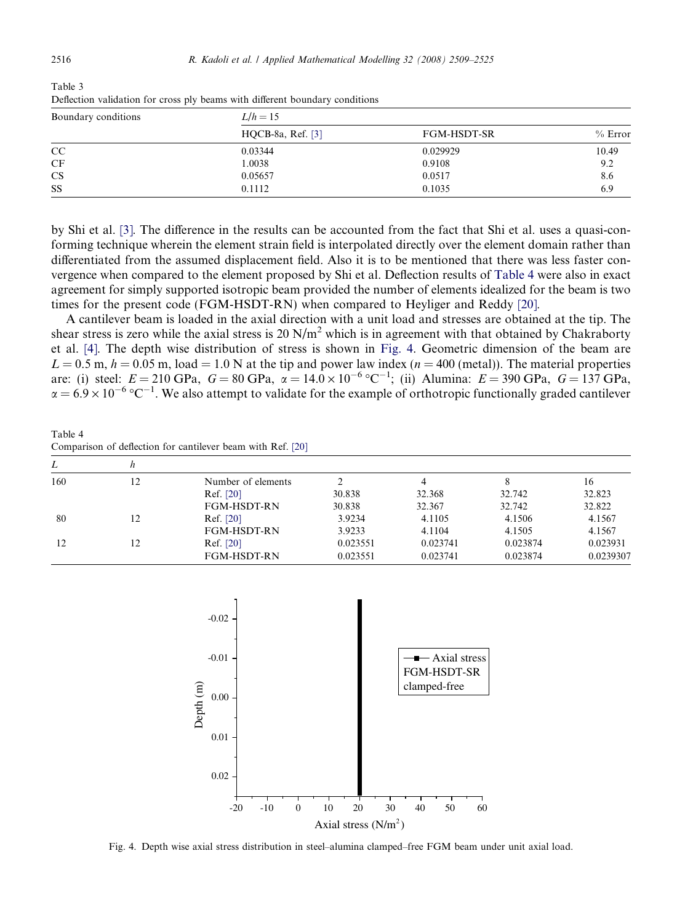| Boundary conditions | $L/h = 15$           |                    |           |  |
|---------------------|----------------------|--------------------|-----------|--|
|                     | $HQCB-8a$ , Ref. [3] | <b>FGM-HSDT-SR</b> | $%$ Error |  |
| <sub>CC</sub>       | 0.03344              | 0.029929           | 10.49     |  |
| CF                  | 1.0038               | 0.9108             | 9.2       |  |
| <b>CS</b>           | 0.05657              | 0.0517             | 8.6       |  |
| SS                  | 0.1112               | 0.1035             | 6.9       |  |

Table 3 Deflection validation for cross ply beams with different boundary conditions

by Shi et al. [3]. The difference in the results can be accounted from the fact that Shi et al. uses a quasi-conforming technique wherein the element strain field is interpolated directly over the element domain rather than differentiated from the assumed displacement field. Also it is to be mentioned that there was less faster convergence when compared to the element proposed by Shi et al. Deflection results of Table 4 were also in exact agreement for simply supported isotropic beam provided the number of elements idealized for the beam is two times for the present code (FGM-HSDT-RN) when compared to Heyliger and Reddy [20].

A cantilever beam is loaded in the axial direction with a unit load and stresses are obtained at the tip. The shear stress is zero while the axial stress is 20  $N/m^2$  which is in agreement with that obtained by Chakraborty et al. [4]. The depth wise distribution of stress is shown in Fig. 4. Geometric dimension of the beam are  $L = 0.5$  m,  $h = 0.05$  m, load = 1.0 N at the tip and power law index ( $n = 400$  (metal)). The material properties are: (i) steel:  $E = 210 \text{ GPa}$ ,  $G = 80 \text{ GPa}$ ,  $\alpha = 14.0 \times 10^{-6} \text{ °C}^{-1}$ ; (ii) Alumina:  $E = 390 \text{ GPa}$ ,  $G = 137 \text{ GPa}$ ,  $\alpha = 6.9 \times 10^{-6}$  °C<sup>-1</sup>. We also attempt to validate for the example of orthotropic functionally graded cantilever

Table 4 Comparison of deflection for cantilever beam with Ref. [20]

| L   | n  |                    |          |          |          |           |
|-----|----|--------------------|----------|----------|----------|-----------|
| 160 | 12 | Number of elements |          |          |          | 16        |
|     |    | Ref. [20]          | 30.838   | 32.368   | 32.742   | 32.823    |
|     |    | <b>FGM-HSDT-RN</b> | 30.838   | 32.367   | 32.742   | 32.822    |
| 80  | 12 | Ref. [20]          | 3.9234   | 4.1105   | 4.1506   | 4.1567    |
|     |    | <b>FGM-HSDT-RN</b> | 3.9233   | 4.1104   | 4.1505   | 4.1567    |
| 12  | 12 | Ref. [20]          | 0.023551 | 0.023741 | 0.023874 | 0.023931  |
|     |    | FGM-HSDT-RN        | 0.023551 | 0.023741 | 0.023874 | 0.0239307 |



Fig. 4. Depth wise axial stress distribution in steel–alumina clamped–free FGM beam under unit axial load.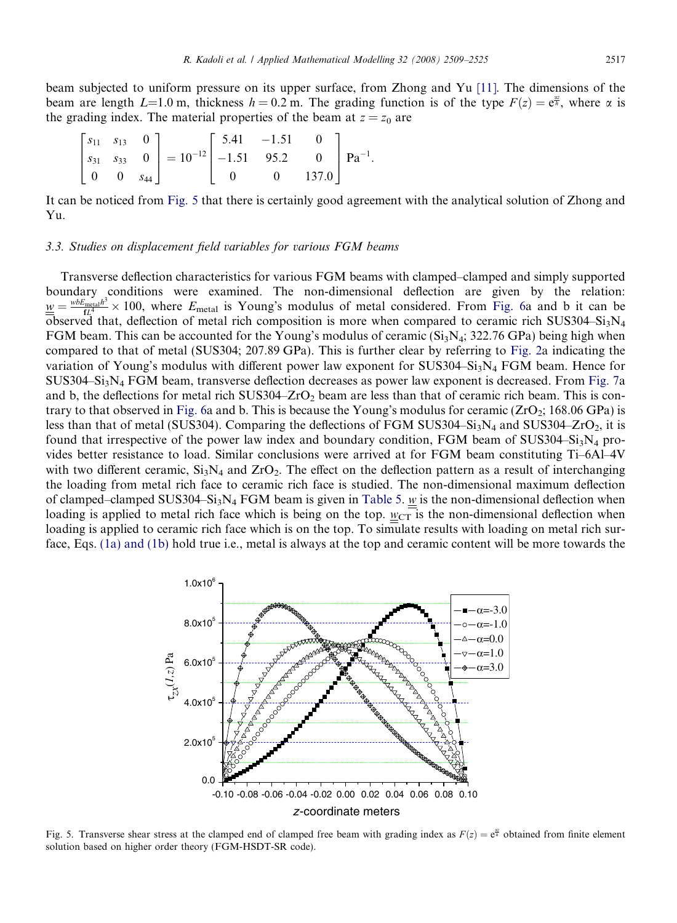beam subjected to uniform pressure on its upper surface, from Zhong and Yu [11]. The dimensions of the beam are length  $L=1.0$  m, thickness  $h=0.2$  m. The grading function is of the type  $F(z) = e^{\frac{z\pi}{h}}$ , where  $\alpha$  is the grading index. The material properties of the beam at  $z = z_0$  are

$$
\begin{bmatrix} s_{11} & s_{13} & 0 \ s_{31} & s_{33} & 0 \ 0 & 0 & s_{44} \end{bmatrix} = 10^{-12} \begin{bmatrix} 5.41 & -1.51 & 0 \ -1.51 & 95.2 & 0 \ 0 & 0 & 137.0 \end{bmatrix} \text{Pa}^{-1}.
$$

It can be noticed from Fig. 5 that there is certainly good agreement with the analytical solution of Zhong and Yu.

## 3.3. Studies on displacement field variables for various FGM beams

Transverse deflection characteristics for various FGM beams with clamped–clamped and simply supported boundary conditions were examined. The non-dimensional deflection are given by the relation:  $w = \frac{w b E_{\text{metal}} h^3}{f I^4}$  $\frac{f_{\text{metal}} h^2}{f L^4} \times 100$ , where  $E_{\text{metal}}$  is Young's modulus of metal considered. From Fig. 6a and b it can be observed that, deflection of metal rich composition is more when compared to ceramic rich SUS304–Si<sub>3</sub>N<sub>4</sub> FGM beam. This can be accounted for the Young's modulus of ceramic  $(S_i, N_4; 322.76 \text{ GPa})$  being high when compared to that of metal (SUS304; 207.89 GPa). This is further clear by referring to Fig. 2a indicating the variation of Young's modulus with different power law exponent for  $SUS304-Si<sub>3</sub>N<sub>4</sub> FGM$  beam. Hence for SUS304–Si3N<sup>4</sup> FGM beam, transverse deflection decreases as power law exponent is decreased. From Fig. 7a and b, the deflections for metal rich SUS304– $ZrO<sub>2</sub>$  beam are less than that of ceramic rich beam. This is contrary to that observed in Fig. 6a and b. This is because the Young's modulus for ceramic (ZrO<sub>2</sub>; 168.06 GPa) is less than that of metal (SUS304). Comparing the deflections of FGM SUS304– $Si<sub>3</sub>N<sub>4</sub>$  and SUS304–ZrO<sub>2</sub>, it is found that irrespective of the power law index and boundary condition, FGM beam of SUS304–Si<sub>3</sub>N<sub>4</sub> provides better resistance to load. Similar conclusions were arrived at for FGM beam constituting Ti–6Al–4V with two different ceramic,  $Si<sub>3</sub>N<sub>4</sub>$  and  $ZrO<sub>2</sub>$ . The effect on the deflection pattern as a result of interchanging the loading from metal rich face to ceramic rich face is studied. The non-dimensional maximum deflection of clamped–clamped SUS304–Si<sub>3</sub>N<sub>4</sub> FGM beam is given in Table 5.  $w$  is the non-dimensional deflection when loading is applied to metal rich face which is being on the top.  $w_{CT}$  is the non-dimensional deflection when loading is applied to ceramic rich face which is on the top. To simulate results with loading on metal rich surface, Eqs. (1a) and (1b) hold true i.e., metal is always at the top and ceramic content will be more towards the



Fig. 5. Transverse shear stress at the clamped end of clamped free beam with grading index as  $F(z) = e^{\frac{cz}{h}}$  obtained from finite element solution based on higher order theory (FGM-HSDT-SR code).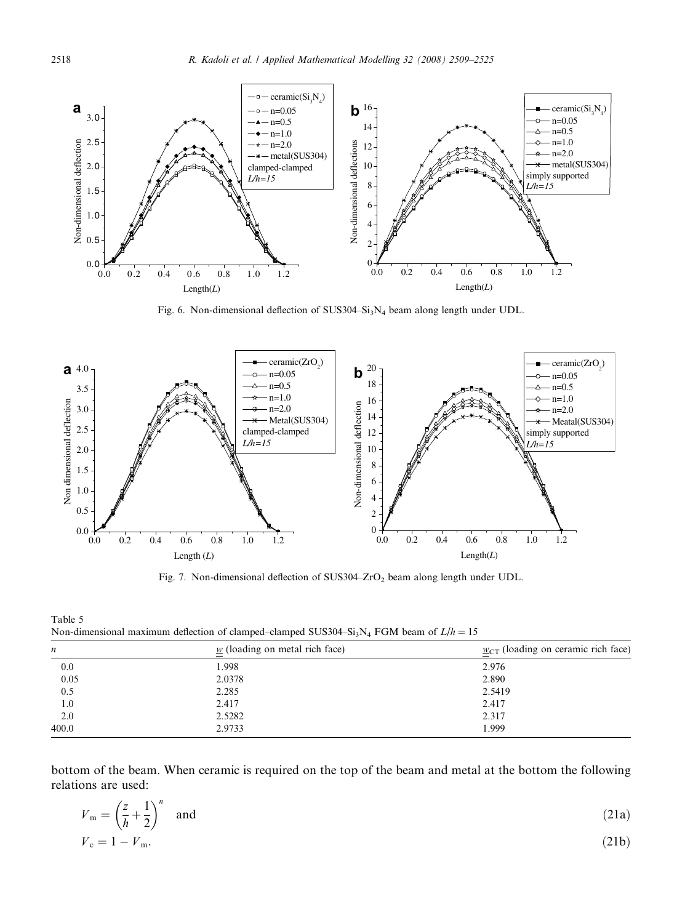

Fig. 6. Non-dimensional deflection of  $SUS304-Si<sub>3</sub>N<sub>4</sub>$  beam along length under UDL.



Fig. 7. Non-dimensional deflection of SUS304– $ZrO<sub>2</sub>$  beam along length under UDL.

Table 5 Non-dimensional maximum deflection of clamped–clamped SUS304–Si<sub>3</sub>N<sub>4</sub> FGM beam of  $L/h = 15$ 

| n     | $w$ (loading on metal rich face) | $w_{CT}$ (loading on ceramic rich face) |  |
|-------|----------------------------------|-----------------------------------------|--|
| 0.0   | 1.998                            | 2.976                                   |  |
| 0.05  | 2.0378                           | 2.890                                   |  |
| 0.5   | 2.285                            | 2.5419                                  |  |
| 1.0   | 2.417                            | 2.417                                   |  |
| 2.0   | 2.5282                           | 2.317                                   |  |
| 400.0 | 2.9733                           | 1.999                                   |  |

bottom of the beam. When ceramic is required on the top of the beam and metal at the bottom the following relations are used:

$$
V_{\mathbf{m}} = \left(\frac{z}{h} + \frac{1}{2}\right)^n \quad \text{and} \tag{21a}
$$
\n
$$
V_{\mathbf{c}} = 1 - V_{\mathbf{m}}.\tag{21b}
$$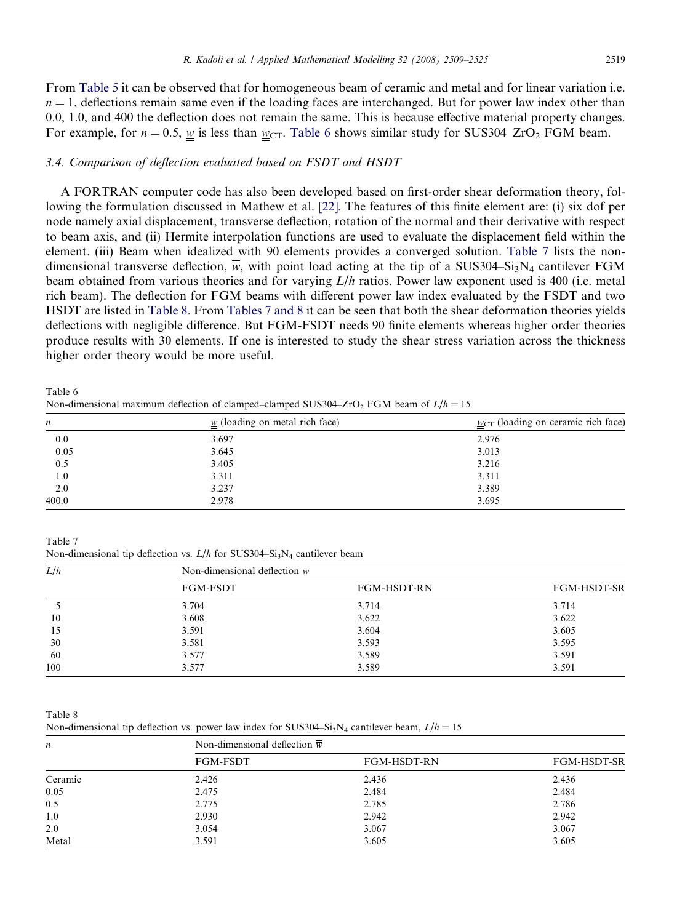From Table 5 it can be observed that for homogeneous beam of ceramic and metal and for linear variation i.e.  $n = 1$ , deflections remain same even if the loading faces are interchanged. But for power law index other than 0.0, 1.0, and 400 the deflection does not remain the same. This is because effective material property changes. For example, for  $n = 0.5$ , w is less than  $w_{CT}$ . Table 6 shows similar study for SUS304–ZrO<sub>2</sub> FGM beam.

### 3.4. Comparison of deflection evaluated based on FSDT and HSDT

A FORTRAN computer code has also been developed based on first-order shear deformation theory, following the formulation discussed in Mathew et al. [22]. The features of this finite element are: (i) six dof per node namely axial displacement, transverse deflection, rotation of the normal and their derivative with respect to beam axis, and (ii) Hermite interpolation functions are used to evaluate the displacement field within the element. (iii) Beam when idealized with 90 elements provides a converged solution. Table 7 lists the nondimensional transverse deflection,  $\overline{\overline{w}}$ , with point load acting at the tip of a SUS304–Si<sub>3</sub>N<sub>4</sub> cantilever FGM beam obtained from various theories and for varying L/h ratios. Power law exponent used is 400 (i.e. metal rich beam). The deflection for FGM beams with different power law index evaluated by the FSDT and two HSDT are listed in Table 8. From Tables 7 and 8 it can be seen that both the shear deformation theories yields deflections with negligible difference. But FGM-FSDT needs 90 finite elements whereas higher order theories produce results with 30 elements. If one is interested to study the shear stress variation across the thickness higher order theory would be more useful.

Table 6

Non-dimensional maximum deflection of clamped–clamped SUS304–ZrO<sub>2</sub> FGM beam of  $L/h = 15$ 

| $\boldsymbol{n}$ | $\underline{w}$ (loading on metal rich face) | $w_{CT}$ (loading on ceramic rich face) |  |
|------------------|----------------------------------------------|-----------------------------------------|--|
| 0.0              | 3.697                                        | 2.976                                   |  |
| 0.05             | 3.645                                        | 3.013                                   |  |
| 0.5              | 3.405                                        | 3.216                                   |  |
| 1.0              | 3.311                                        | 3.311                                   |  |
| 2.0              | 3.237                                        | 3.389                                   |  |
| 400.0            | 2.978                                        | 3.695                                   |  |

Table 7

| L/h | Non-dimensional deflection $\overline{\overline{w}}$ |             |                    |  |
|-----|------------------------------------------------------|-------------|--------------------|--|
|     | FGM-FSDT                                             | FGM-HSDT-RN | <b>FGM-HSDT-SR</b> |  |
|     | 3.704                                                | 3.714       | 3.714              |  |
| 10  | 3.608                                                | 3.622       | 3.622              |  |
| 15  | 3.591                                                | 3.604       | 3.605              |  |
| 30  | 3.581                                                | 3.593       | 3.595              |  |
| 60  | 3.577                                                | 3.589       | 3.591              |  |
| 100 | 3.577                                                | 3.589       | 3.591              |  |

Table 8 Non-dimensional tip deflection vs. power law index for SUS304–Si<sub>3</sub>N<sub>4</sub> cantilever beam,  $L/h = 15$ 

| $\boldsymbol{n}$ | Non-dimensional deflection $\frac{1}{W}$ |             |                    |  |
|------------------|------------------------------------------|-------------|--------------------|--|
|                  | <b>FGM-FSDT</b>                          | FGM-HSDT-RN | <b>FGM-HSDT-SR</b> |  |
| Ceramic          | 2.426                                    | 2.436       | 2.436              |  |
| 0.05             | 2.475                                    | 2.484       | 2.484              |  |
| 0.5              | 2.775                                    | 2.785       | 2.786              |  |
| 1.0              | 2.930                                    | 2.942       | 2.942              |  |
| 2.0              | 3.054                                    | 3.067       | 3.067              |  |
| Metal            | 3.591                                    | 3.605       | 3.605              |  |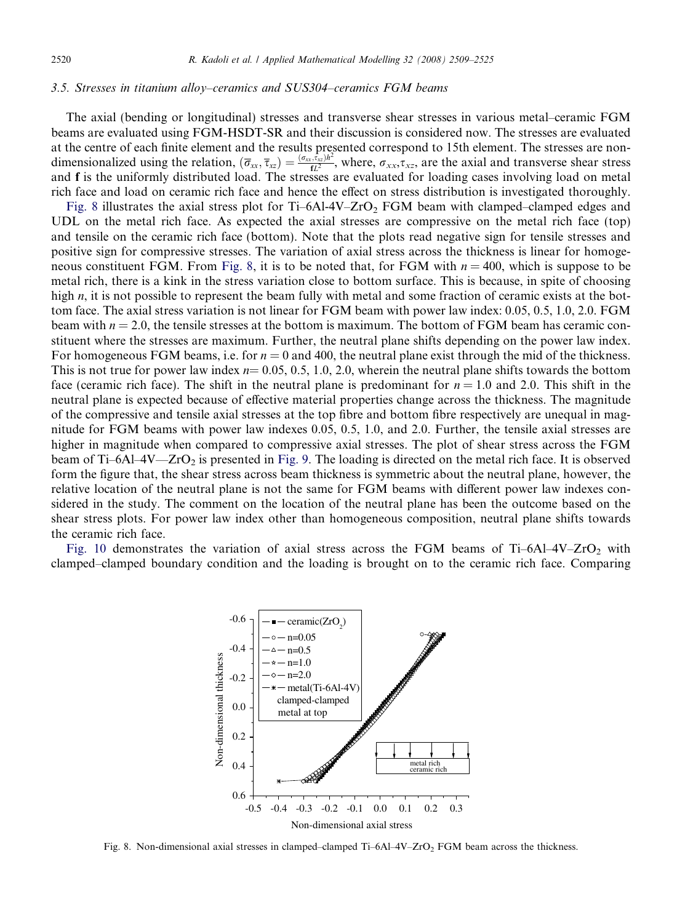#### 3.5. Stresses in titanium alloy–ceramics and SUS304–ceramics FGM beams

The axial (bending or longitudinal) stresses and transverse shear stresses in various metal–ceramic FGM beams are evaluated using FGM-HSDT-SR and their discussion is considered now. The stresses are evaluated at the centre of each finite element and the results presented correspond to 15th element. The stresses are nondimensionalized using the relation,  $(\overline{\sigma}_{xx}, \overline{\tau}_{xz}) = \frac{(\sigma_{xx}, \hat{\tau}_{xz})h^2}{fL^2}$  $\frac{f_L x_B/h^2}{f L^2}$ , where,  $\sigma_{xx}, \tau_{xz}$ , are the axial and transverse shear stress and f is the uniformly distributed load. The stresses are evaluated for loading cases involving load on metal rich face and load on ceramic rich face and hence the effect on stress distribution is investigated thoroughly.

Fig. 8 illustrates the axial stress plot for Ti–6Al-4V– $ZrO<sub>2</sub> FGM$  beam with clamped–clamped edges and UDL on the metal rich face. As expected the axial stresses are compressive on the metal rich face (top) and tensile on the ceramic rich face (bottom). Note that the plots read negative sign for tensile stresses and positive sign for compressive stresses. The variation of axial stress across the thickness is linear for homogeneous constituent FGM. From Fig. 8, it is to be noted that, for FGM with  $n = 400$ , which is suppose to be metal rich, there is a kink in the stress variation close to bottom surface. This is because, in spite of choosing high  $n$ , it is not possible to represent the beam fully with metal and some fraction of ceramic exists at the bottom face. The axial stress variation is not linear for FGM beam with power law index: 0.05, 0.5, 1.0, 2.0. FGM beam with  $n = 2.0$ , the tensile stresses at the bottom is maximum. The bottom of FGM beam has ceramic constituent where the stresses are maximum. Further, the neutral plane shifts depending on the power law index. For homogeneous FGM beams, i.e. for  $n = 0$  and 400, the neutral plane exist through the mid of the thickness. This is not true for power law index  $n= 0.05, 0.5, 1.0, 2.0$ , wherein the neutral plane shifts towards the bottom face (ceramic rich face). The shift in the neutral plane is predominant for  $n = 1.0$  and 2.0. This shift in the neutral plane is expected because of effective material properties change across the thickness. The magnitude of the compressive and tensile axial stresses at the top fibre and bottom fibre respectively are unequal in magnitude for FGM beams with power law indexes 0.05, 0.5, 1.0, and 2.0. Further, the tensile axial stresses are higher in magnitude when compared to compressive axial stresses. The plot of shear stress across the FGM beam of Ti–6Al–4V—ZrO<sub>2</sub> is presented in Fig. 9. The loading is directed on the metal rich face. It is observed form the figure that, the shear stress across beam thickness is symmetric about the neutral plane, however, the relative location of the neutral plane is not the same for FGM beams with different power law indexes considered in the study. The comment on the location of the neutral plane has been the outcome based on the shear stress plots. For power law index other than homogeneous composition, neutral plane shifts towards the ceramic rich face.

Fig. 10 demonstrates the variation of axial stress across the FGM beams of Ti–6Al–4V– $ZrO<sub>2</sub>$  with clamped–clamped boundary condition and the loading is brought on to the ceramic rich face. Comparing



Fig. 8. Non-dimensional axial stresses in clamped–clamped Ti–6Al–4V– $ZrO<sub>2</sub>FGM$  beam across the thickness.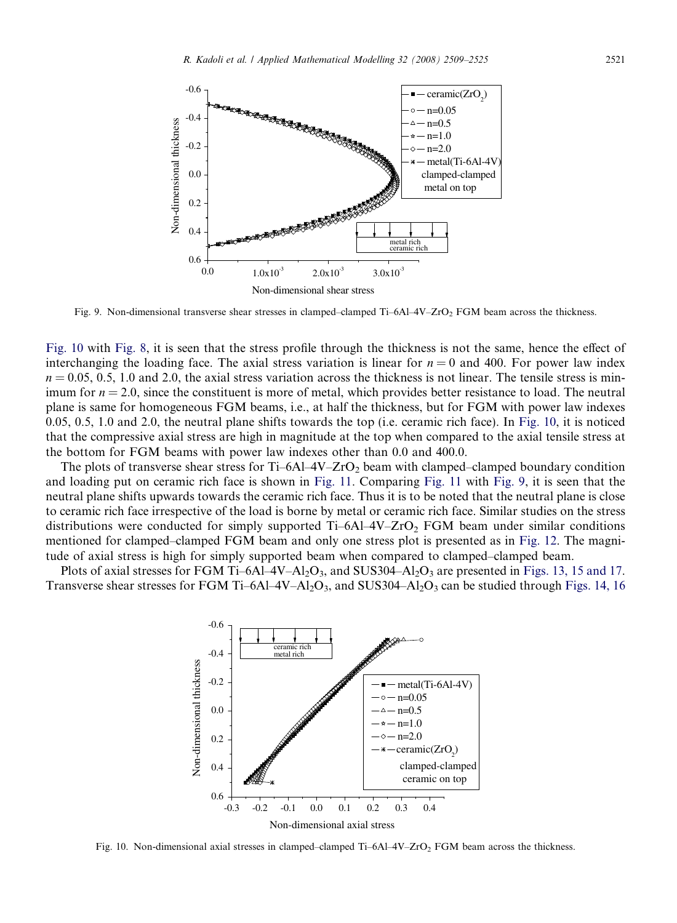

Fig. 9. Non-dimensional transverse shear stresses in clamped–clamped Ti–6Al–4V–ZrO<sub>2</sub> FGM beam across the thickness.

Fig. 10 with Fig. 8, it is seen that the stress profile through the thickness is not the same, hence the effect of interchanging the loading face. The axial stress variation is linear for  $n = 0$  and 400. For power law index  $n = 0.05, 0.5, 1.0$  and 2.0, the axial stress variation across the thickness is not linear. The tensile stress is minimum for  $n = 2.0$ , since the constituent is more of metal, which provides better resistance to load. The neutral plane is same for homogeneous FGM beams, i.e., at half the thickness, but for FGM with power law indexes 0.05, 0.5, 1.0 and 2.0, the neutral plane shifts towards the top (i.e. ceramic rich face). In Fig. 10, it is noticed that the compressive axial stress are high in magnitude at the top when compared to the axial tensile stress at the bottom for FGM beams with power law indexes other than 0.0 and 400.0.

The plots of transverse shear stress for Ti–6Al–4V– $ZrO<sub>2</sub>$  beam with clamped–clamped boundary condition and loading put on ceramic rich face is shown in Fig. 11. Comparing Fig. 11 with Fig. 9, it is seen that the neutral plane shifts upwards towards the ceramic rich face. Thus it is to be noted that the neutral plane is close to ceramic rich face irrespective of the load is borne by metal or ceramic rich face. Similar studies on the stress distributions were conducted for simply supported  $Ti-6A1-4V-ZrO<sub>2</sub>$  FGM beam under similar conditions mentioned for clamped–clamped FGM beam and only one stress plot is presented as in Fig. 12. The magnitude of axial stress is high for simply supported beam when compared to clamped–clamped beam.

Plots of axial stresses for FGM Ti–6Al–4V–Al<sub>2</sub>O<sub>3</sub>, and SUS304–Al<sub>2</sub>O<sub>3</sub> are presented in Figs. 13, 15 and 17. Transverse shear stresses for FGM Ti–6Al–4V–Al<sub>2</sub>O<sub>3</sub>, and SUS304–Al<sub>2</sub>O<sub>3</sub> can be studied through Figs. 14, 16



Fig. 10. Non-dimensional axial stresses in clamped–clamped Ti–6Al–4V–ZrO<sub>2</sub> FGM beam across the thickness.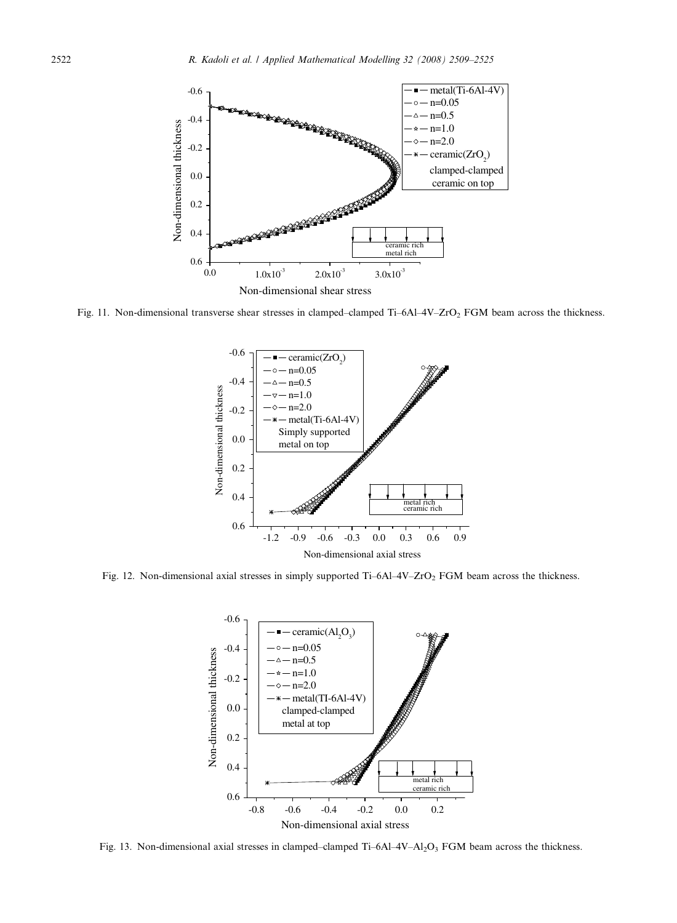

Fig. 11. Non-dimensional transverse shear stresses in clamped–clamped Ti–6Al–4V–ZrO<sub>2</sub> FGM beam across the thickness.



Fig. 12. Non-dimensional axial stresses in simply supported Ti-6Al-4V-ZrO<sub>2</sub> FGM beam across the thickness.



Fig. 13. Non-dimensional axial stresses in clamped–clamped Ti–6Al–4V–Al<sub>2</sub>O<sub>3</sub> FGM beam across the thickness.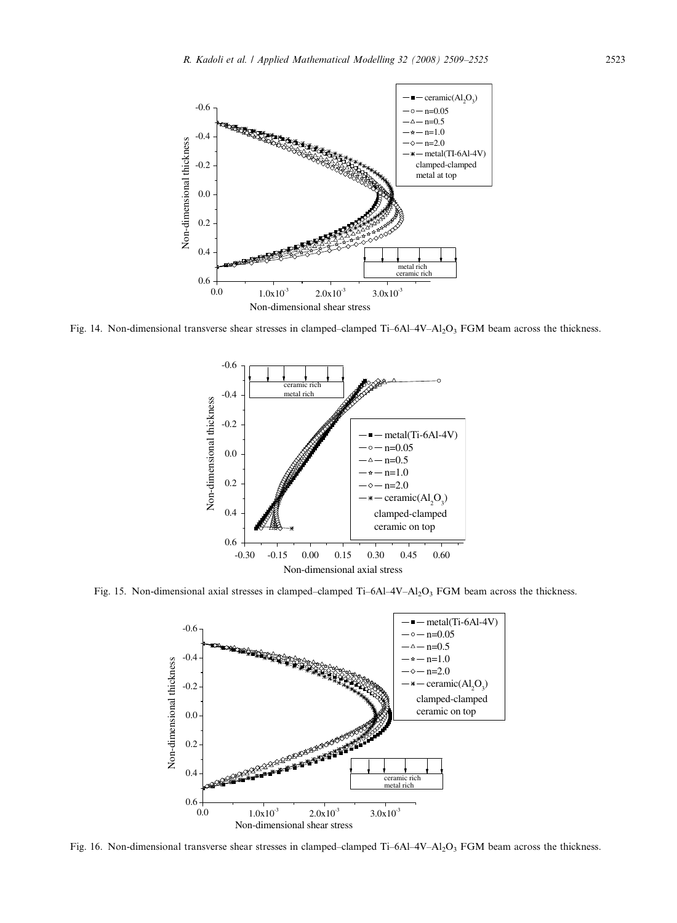

Fig. 14. Non-dimensional transverse shear stresses in clamped–clamped Ti–6Al–4V–Al2O<sup>3</sup> FGM beam across the thickness.



Fig. 15. Non-dimensional axial stresses in clamped–clamped Ti–6Al–4V–Al<sub>2</sub>O<sub>3</sub> FGM beam across the thickness.



Fig. 16. Non-dimensional transverse shear stresses in clamped–clamped Ti–6Al–4V–Al2O<sup>3</sup> FGM beam across the thickness.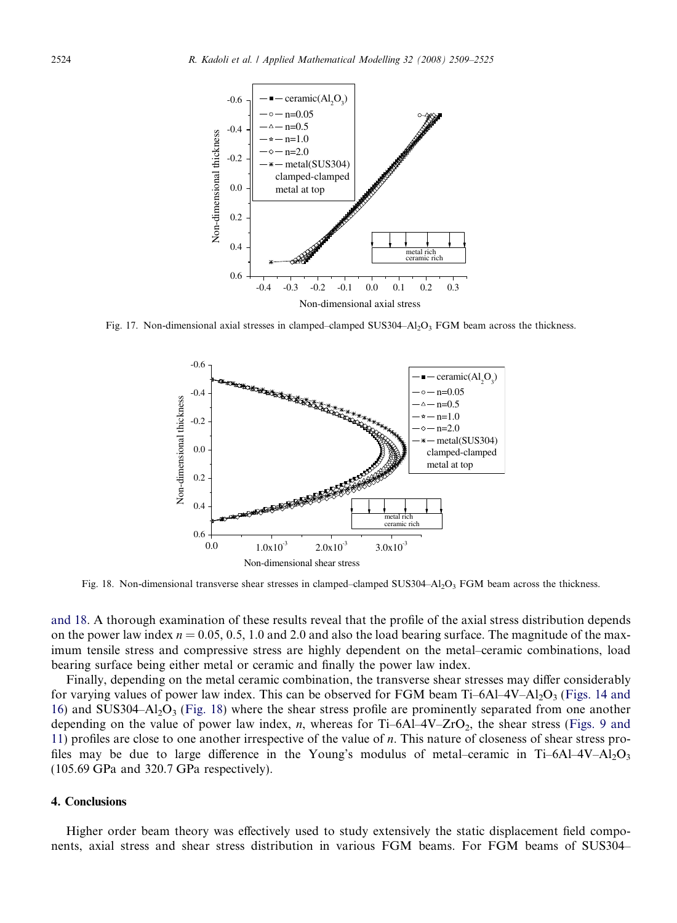

Fig. 17. Non-dimensional axial stresses in clamped–clamped SUS304–Al<sub>2</sub>O<sub>3</sub> FGM beam across the thickness.



Fig. 18. Non-dimensional transverse shear stresses in clamped–clamped SUS304–Al<sub>2</sub>O<sub>3</sub> FGM beam across the thickness.

and 18. A thorough examination of these results reveal that the profile of the axial stress distribution depends on the power law index  $n = 0.05, 0.5, 1.0$  and 2.0 and also the load bearing surface. The magnitude of the maximum tensile stress and compressive stress are highly dependent on the metal–ceramic combinations, load bearing surface being either metal or ceramic and finally the power law index.

Finally, depending on the metal ceramic combination, the transverse shear stresses may differ considerably for varying values of power law index. This can be observed for FGM beam Ti–6Al–4V–Al<sub>2</sub>O<sub>3</sub> (Figs. 14 and 16) and SUS304-Al<sub>2</sub>O<sub>3</sub> (Fig. 18) where the shear stress profile are prominently separated from one another depending on the value of power law index, *n*, whereas for Ti–6Al–4V–ZrO<sub>2</sub>, the shear stress (Figs. 9 and 11) profiles are close to one another irrespective of the value of  $n$ . This nature of closeness of shear stress profiles may be due to large difference in the Young's modulus of metal–ceramic in Ti–6Al–4V–Al<sub>2</sub>O<sub>3</sub> (105.69 GPa and 320.7 GPa respectively).

# 4. Conclusions

Higher order beam theory was effectively used to study extensively the static displacement field components, axial stress and shear stress distribution in various FGM beams. For FGM beams of SUS304–